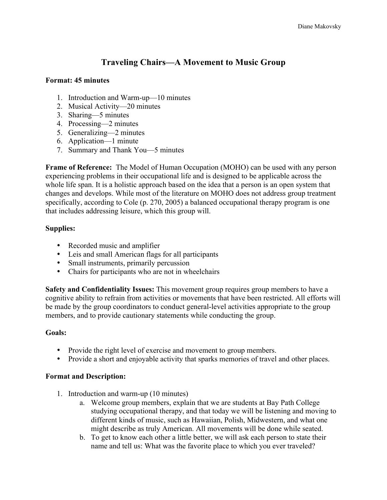# **Traveling Chairs—A Movement to Music Group**

#### **Format: 45 minutes**

- 1. Introduction and Warm-up—10 minutes
- 2. Musical Activity—20 minutes
- 3. Sharing—5 minutes
- 4. Processing—2 minutes
- 5. Generalizing—2 minutes
- 6. Application—1 minute
- 7. Summary and Thank You—5 minutes

**Frame of Reference:** The Model of Human Occupation (MOHO) can be used with any person experiencing problems in their occupational life and is designed to be applicable across the whole life span. It is a holistic approach based on the idea that a person is an open system that changes and develops. While most of the literature on MOHO does not address group treatment specifically, according to Cole (p. 270, 2005) a balanced occupational therapy program is one that includes addressing leisure, which this group will.

## **Supplies:**

- Recorded music and amplifier
- Leis and small American flags for all participants
- Small instruments, primarily percussion
- Chairs for participants who are not in wheelchairs

**Safety and Confidentiality Issues:** This movement group requires group members to have a cognitive ability to refrain from activities or movements that have been restricted. All efforts will be made by the group coordinators to conduct general-level activities appropriate to the group members, and to provide cautionary statements while conducting the group.

### **Goals:**

- Provide the right level of exercise and movement to group members.
- Provide a short and enjoyable activity that sparks memories of travel and other places.

### **Format and Description:**

- 1. Introduction and warm-up (10 minutes)
	- a. Welcome group members, explain that we are students at Bay Path College studying occupational therapy, and that today we will be listening and moving to different kinds of music, such as Hawaiian, Polish, Midwestern, and what one might describe as truly American. All movements will be done while seated.
	- b. To get to know each other a little better, we will ask each person to state their name and tell us: What was the favorite place to which you ever traveled?